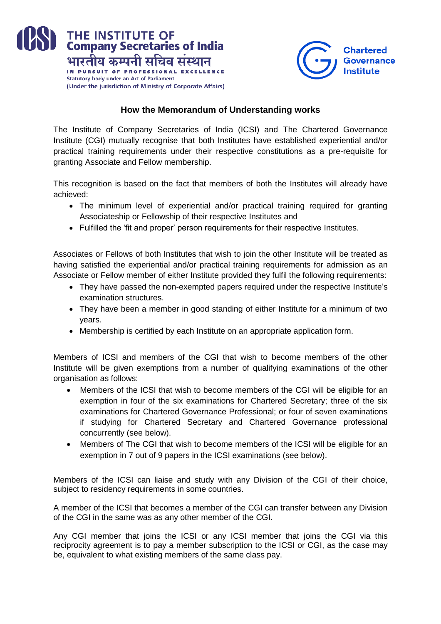



## **How the Memorandum of Understanding works**

The Institute of Company Secretaries of India (ICSI) and The Chartered Governance Institute (CGI) mutually recognise that both Institutes have established experiential and/or practical training requirements under their respective constitutions as a pre-requisite for granting Associate and Fellow membership.

This recognition is based on the fact that members of both the Institutes will already have achieved:

- The minimum level of experiential and/or practical training required for granting Associateship or Fellowship of their respective Institutes and
- Fulfilled the 'fit and proper' person requirements for their respective Institutes.

Associates or Fellows of both Institutes that wish to join the other Institute will be treated as having satisfied the experiential and/or practical training requirements for admission as an Associate or Fellow member of either Institute provided they fulfil the following requirements:

- They have passed the non-exempted papers required under the respective Institute's examination structures.
- They have been a member in good standing of either Institute for a minimum of two years.
- Membership is certified by each Institute on an appropriate application form.

Members of ICSI and members of the CGI that wish to become members of the other Institute will be given exemptions from a number of qualifying examinations of the other organisation as follows:

- Members of the ICSI that wish to become members of the CGI will be eligible for an exemption in four of the six examinations for Chartered Secretary; three of the six examinations for Chartered Governance Professional; or four of seven examinations if studying for Chartered Secretary and Chartered Governance professional concurrently (see below).
- Members of The CGI that wish to become members of the ICSI will be eligible for an exemption in 7 out of 9 papers in the ICSI examinations (see below).

Members of the ICSI can liaise and study with any Division of the CGI of their choice, subject to residency requirements in some countries.

A member of the ICSI that becomes a member of the CGI can transfer between any Division of the CGI in the same was as any other member of the CGI.

Any CGI member that joins the ICSI or any ICSI member that joins the CGI via this reciprocity agreement is to pay a member subscription to the ICSI or CGI, as the case may be, equivalent to what existing members of the same class pay.